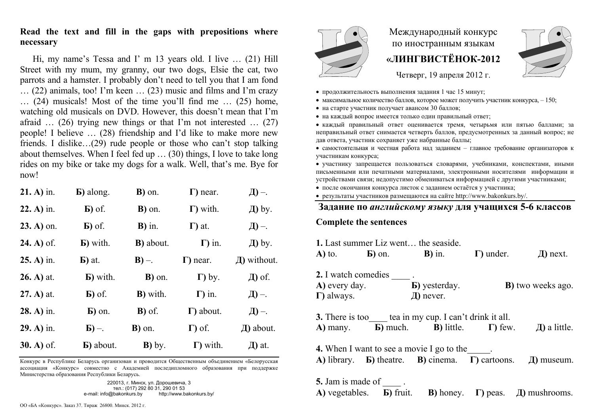## **Read the text and fill in the gaps with prepositions where necessary**

Hi, my name's Tessa and I' m 13 years old. I live … (21) Hill Street with my mum, my granny, our two dogs, Elsie the cat, two parrots and a hamster. I probably don't need to tell you that I am fond … (22) animals, too! I'm keen … (23) music and films and I'm crazy … (24) musicals! Most of the time you'll find me … (25) home, watching old musicals on DVD. However, this doesn't mean that I'm afraid  $\ldots$  (26) trying new things or that I'm not interested  $\ldots$  (27) people! I believe … (28) friendship and I'd like to make more new friends. I dislike…(29) rude people or those who can't stop talking about themselves. When I feel fed up … (30) things, I love to take long rides on my bike or take my dogs for a walk. Well, that's me. Bye for now!

| $21. A)$ in.       | <b>B</b> ) along.              | B) on.            | $\Gamma$ ) near.  | Д) –.            |
|--------------------|--------------------------------|-------------------|-------------------|------------------|
| $22. A)$ in.       | $\mathbf{E}$ ) of $\mathbf{E}$ | <b>B</b> ) on.    | $\Gamma$ ) with.  | Д) by.           |
| $23. A)$ on.       | $\mathbf{E}$ ) of $\mathbf{E}$ | $B)$ in.          | $\Gamma$ ) at.    | Д) –.            |
| <b>24.</b> A) of . | <b>b</b> ) with.               | <b>B</b> ) about. | $\Gamma$ ) in.    | Д) by.           |
| $25. A)$ in.       | $\mathbf{E}$ ) at.             | $B$ ) –.          | $\Gamma$ ) near.  | $\pi$ ) without. |
|                    |                                |                   |                   |                  |
| $26. A)$ at.       | <b>b</b> ) with.               | B) on.            | $\Gamma$ ) by.    | Д) of.           |
| $(27. A)$ at.      | $\mathbf{E}$ ) of $\mathbf{E}$ | <b>B</b> ) with.  | $\Gamma$ ) in.    | Д) –.            |
| $28. A)$ in.       | $\mathbf{E}$ ) on.             | <b>B</b> ) of .   | $\Gamma$ ) about. | $\Box$ ) –.      |
| $29. A)$ in.       | $\mathbf{E}$ ) –.              | <b>B</b> ) on.    | $\Gamma$ ) of.    | $\pi$ ) about.   |

Конкурс <sup>в</sup> Республике Беларусь организован <sup>и</sup> проводится Общественным объединением «Белорусская ассоциация «Конкурс» совместно <sup>с</sup> Академией последипломного образования при поддержке Министерства образования Республики Беларусь.

220013, <sup>г</sup>. Минск, ул. Дорошевича, 3 тел.: (017) 292 80 31, 290 01 53 e-mail: info@bakonkurs.by http://www.bakonkurs.by/

## Международный конкурс по иностранным языкам **«ЛИНГВИСТЁНОК-2012**



Четверг, 19 апреля 2012 <sup>г</sup>.

- продолжительность выполнения задания 1 час 15 минут;
- максимальное количество баллов, которое может получить участник конкурса,  $-150$ ;
- на старте участник получает авансом 30 баллов;
- на каждый вопрос имеется только один правильный ответ;

 каждый правильный ответ оценивается тремя, четырьмя или пятью баллами; за неправильный ответ снимается четверть баллов, предусмотренных за данный вопрос; не дав ответа, участник сохраняет уже набранные баллы;

 самостоятельная и честная работа над заданием – главное требование организаторов <sup>к</sup> участникам конкурса;

 участнику запрещается пользоваться словарями, учебниками, конспектами, иными письменными или печатными материалами, электронными носителями информации <sup>и</sup> устройствами связи; недопустимо обмениваться информацией <sup>с</sup> другими участниками;

после окончания конкурса листок <sup>с</sup> заданием остаётся у участника;

результаты участников размещаются на сайте http://www.bakonkurs.by/.

## **Задание по** *английскому языку* **для учащихся 5-6 классов**

## **Complete the sentences**

| $\bf{A}$ ) to.                                                                                                                                 | $\mathbf{E}$ ) on. | <b>1.</b> Last summer Liz went the seaside.<br>$\mathbf{B}$ ) in.                                                  | $\Gamma$ ) under. | $\pi$ ) next.             |  |  |
|------------------------------------------------------------------------------------------------------------------------------------------------|--------------------|--------------------------------------------------------------------------------------------------------------------|-------------------|---------------------------|--|--|
| 2. I watch comedies .<br>A) every day.<br>$\Gamma$ ) always.                                                                                   |                    | <b>b</b> ) yesterday.<br>$\pi$ ) never.                                                                            |                   | <b>B</b> ) two weeks ago. |  |  |
| $A)$ many.                                                                                                                                     |                    | <b>3.</b> There is too tea in my cup. I can't drink it all.<br><b>b</b> ) much. <b>b</b> ) little. $\Gamma$ ) few. |                   | $\pi$ ) a little.         |  |  |
| <b>4.</b> When I want to see a movie I go to the<br>A) library. <b>b</b> ) theatre. <b>B</b> ) cinema. $\Gamma$ ) cartoons.<br>$\pi$ ) museum. |                    |                                                                                                                    |                   |                           |  |  |
| 5. Jam is made of                                                                                                                              |                    |                                                                                                                    |                   |                           |  |  |

**А)** vegetables. **Б)** fruit. **В)** honey. **Г)** peas. **Д)** mushrooms.